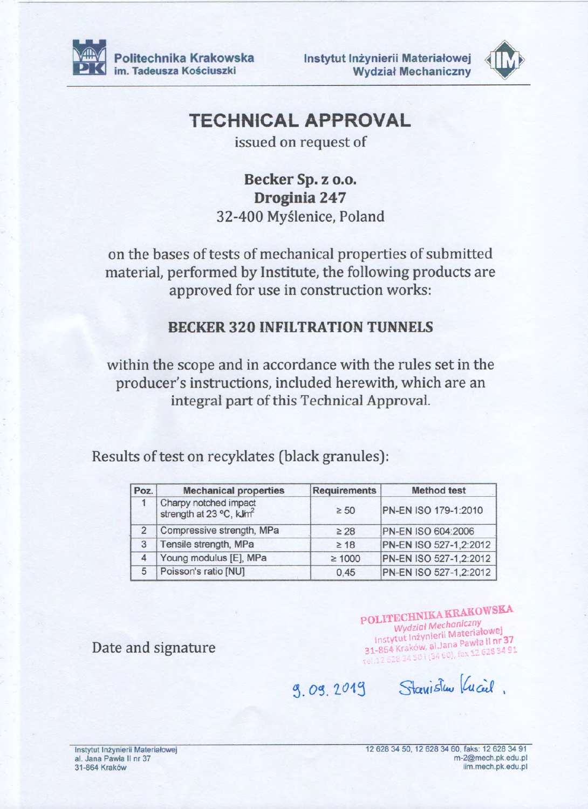

Instytut Inżynierii Materiałowej **Wydział Mechaniczny** 



## **TECHNICAL APPROVAL**

issued on request of

Becker Sp. z o.o. Droginia 247 32-400 Myślenice, Poland

on the bases of tests of mechanical properties of submitted material, performed by Institute, the following products are approved for use in construction works:

## **BECKER 320 INFILTRATION TUNNELS**

within the scope and in accordance with the rules set in the producer's instructions, included herewith, which are an integral part of this Technical Approval.

Results of test on recyklates (black granules):

| Poz. | <b>Mechanical properties</b>                                 | <b>Requirements</b> | <b>Method test</b>     |
|------|--------------------------------------------------------------|---------------------|------------------------|
|      | Charpy notched impact<br>strength at 23 °C, kJm <sup>2</sup> | $\geq 50$           | PN-EN ISO 179-1:2010   |
|      | Compressive strength, MPa                                    | $\geq 28$           | PN-EN ISO 604:2006     |
| 3    | Tensile strength, MPa                                        | $\geq 18$           | PN-EN ISO 527-1,2:2012 |
|      | Young modulus [E], MPa                                       | $\geq 1000$         | PN-EN ISO 527-1,2:2012 |
| 5    | Poisson's ratio [NU]                                         | 0.45                | PN-EN ISO 527-1,2:2012 |

Date and signature

POLITECHNIKA KRAKOWSKA **Wydział Mechaniczny** Instytut Inżynierii Materiałowej 31-864 Kraków, al. Jana Pawła II nr 37 rel.12 628 34 501 (34 60), fax 12 628 34 91

9.09.2019 Stavistu Vucil.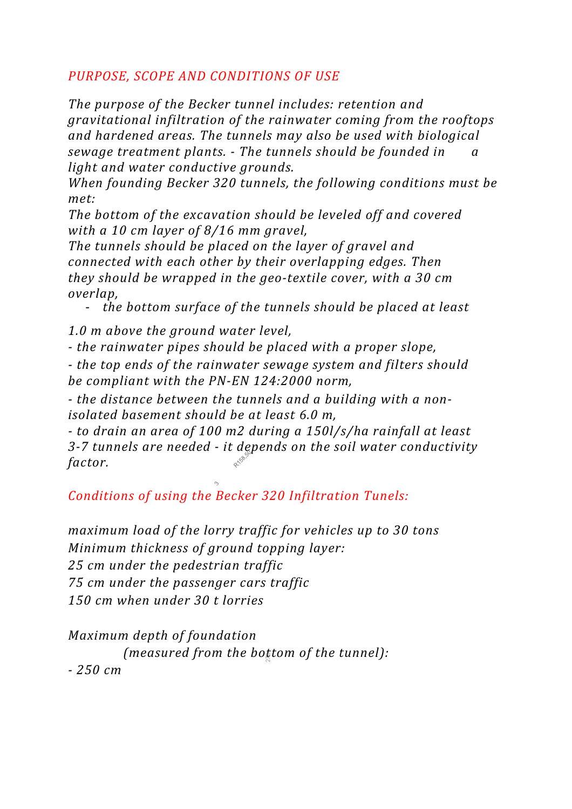## *PURPOSE, SCOPE AND CONDITIONS OF USE*

*The purpose of the Becker tunnel includes: retention and gravitational infiltration of the rainwater coming from the rooftops and hardened areas. The tunnels may also be used with biological sewage treatment plants. - The tunnels should be founded in a light and water conductive grounds.* 

*When founding Becker 320 tunnels, the following conditions must be met:* 

*The bottom of the excavation should be leveled off and covered with a 10 cm layer of 8/16 mm gravel,* 

*The tunnels should be placed on the layer of gravel and connected with each other by their overlapping edges. Then they should be wrapped in the geo-textile cover, with a 30 cm overlap,* 

- *the bottom surface of the tunnels should be placed at least*

*1.0 m above the ground water level,* 

*- the rainwater pipes should be placed with a proper slope,*

*- the top ends of the rainwater sewage system and filters should be compliant with the PN-EN 124:2000 norm,*

*- the distance between the tunnels and a building with a nonisolated basement should be at least 6.0 m,*

*- to drain an area of 100 m2 during a 150l/s/ha rainfall at least 3-7 tunnels are needed - it depends on the soil water conductivity factor.*

*Conditions of using the Becker 320 Infiltration Tunels:* 

*maximum load of the lorry traffic for vehicles up to 30 tons Minimum thickness of ground topping layer: 25 cm under the pedestrian traffic 75 cm under the passenger cars traffic 150 cm when under 30 t lorries* 

*Maximum depth of foundation*  (measured from the bo<sub>k</sub>tom of the tunnel): *- 250 cm*